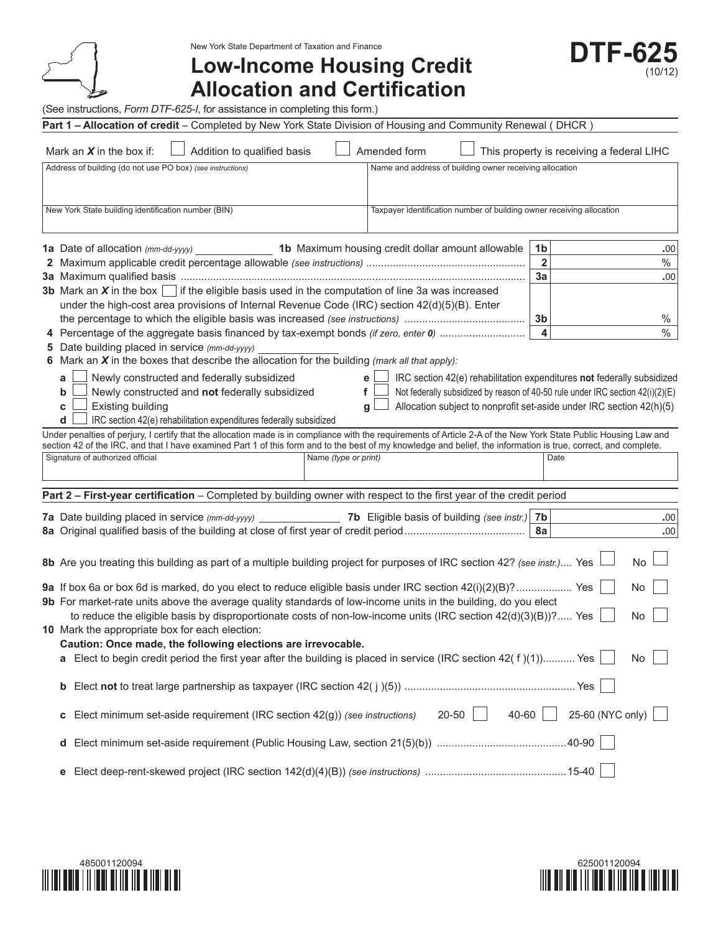New York State Department of Taxation and Finance

**Low-Income Housing Credit Allocation and Certification**

(See instructions, *Form DTF-625-I*, for assistance in completing this form.)

| Part 1 - Allocation of credit - Completed by New York State Division of Housing and Community Renewal (DHCR)                                                                                                                                                                                                                         |                                                                                      |                         |                                           |  |
|--------------------------------------------------------------------------------------------------------------------------------------------------------------------------------------------------------------------------------------------------------------------------------------------------------------------------------------|--------------------------------------------------------------------------------------|-------------------------|-------------------------------------------|--|
| Mark an $X$ in the box if:<br>Addition to qualified basis                                                                                                                                                                                                                                                                            | Amended form                                                                         |                         | This property is receiving a federal LIHC |  |
| Address of building (do not use PO box) (see instructions)                                                                                                                                                                                                                                                                           | Name and address of building owner receiving allocation                              |                         |                                           |  |
| New York State building identification number (BIN)                                                                                                                                                                                                                                                                                  | Taxpayer identification number of building owner receiving allocation                |                         |                                           |  |
|                                                                                                                                                                                                                                                                                                                                      |                                                                                      |                         |                                           |  |
| <b>1a</b> Date of allocation (mm-dd-yyyy)                                                                                                                                                                                                                                                                                            | 1b Maximum housing credit dollar amount allowable                                    | 1 <sub>b</sub>          | .00                                       |  |
|                                                                                                                                                                                                                                                                                                                                      |                                                                                      | $\overline{2}$          | $\%$                                      |  |
|                                                                                                                                                                                                                                                                                                                                      |                                                                                      | 3a                      | .00                                       |  |
| <b>3b</b> Mark an $X$ in the box $\Box$ if the eligible basis used in the computation of line 3a was increased                                                                                                                                                                                                                       |                                                                                      |                         |                                           |  |
| under the high-cost area provisions of Internal Revenue Code (IRC) section 42(d)(5)(B). Enter                                                                                                                                                                                                                                        |                                                                                      |                         |                                           |  |
|                                                                                                                                                                                                                                                                                                                                      |                                                                                      |                         | $\%$                                      |  |
|                                                                                                                                                                                                                                                                                                                                      |                                                                                      | $\overline{\mathbf{4}}$ | $\%$                                      |  |
| 5 Date building placed in service (mm-dd-yyyy)<br>6 Mark an $X$ in the boxes that describe the allocation for the building <i>(mark all that apply):</i>                                                                                                                                                                             |                                                                                      |                         |                                           |  |
| Newly constructed and federally subsidized<br>a                                                                                                                                                                                                                                                                                      | IRC section 42(e) rehabilitation expenditures not federally subsidized<br>e $\Box$   |                         |                                           |  |
| Newly constructed and not federally subsidized<br>b                                                                                                                                                                                                                                                                                  | Not federally subsidized by reason of 40-50 rule under IRC section 42(i)(2)(E)<br>f  |                         |                                           |  |
| <b>Existing building</b><br>C                                                                                                                                                                                                                                                                                                        | Allocation subject to nonprofit set-aside under IRC section 42(h)(5)<br>$\mathbf{q}$ |                         |                                           |  |
| IRC section 42(e) rehabilitation expenditures federally subsidized<br>d                                                                                                                                                                                                                                                              |                                                                                      |                         |                                           |  |
| Under penalties of perjury, I certify that the allocation made is in compliance with the requirements of Article 2-A of the New York State Public Housing Law and<br>section 42 of the IRC, and that I have examined Part 1 of this form and to the best of my knowledge and belief, the information is true, correct, and complete. |                                                                                      |                         |                                           |  |
| Signature of authorized official<br>Name (type or print)                                                                                                                                                                                                                                                                             |                                                                                      | Date                    |                                           |  |
|                                                                                                                                                                                                                                                                                                                                      |                                                                                      |                         |                                           |  |
| Part 2 - First-year certification - Completed by building owner with respect to the first year of the credit period                                                                                                                                                                                                                  |                                                                                      |                         |                                           |  |
|                                                                                                                                                                                                                                                                                                                                      |                                                                                      |                         |                                           |  |
| <b>7a</b> Date building placed in service $\langle$ mm-dd-yyyy _______________________ <b>7b</b> Eligible basis of building (see instr.) <b>7b</b>                                                                                                                                                                                   |                                                                                      |                         | .00                                       |  |
|                                                                                                                                                                                                                                                                                                                                      |                                                                                      |                         | .00                                       |  |
| 8b Are you treating this building as part of a multiple building project for purposes of IRC section 42? (see instr.) Yes                                                                                                                                                                                                            |                                                                                      |                         | <b>No</b>                                 |  |
|                                                                                                                                                                                                                                                                                                                                      |                                                                                      |                         |                                           |  |
| 9a If box 6a or box 6d is marked, do you elect to reduce eligible basis under IRC section 42(i)(2)(B)? Yes                                                                                                                                                                                                                           |                                                                                      |                         | No                                        |  |
| 9b For market-rate units above the average quality standards of low-income units in the building, do you elect<br>to reduce the eligible basis by disproportionate costs of non-low-income units (IRC section $42(d)(3)(B))$ ? Yes                                                                                                   |                                                                                      |                         | No                                        |  |
| 10 Mark the appropriate box for each election:                                                                                                                                                                                                                                                                                       |                                                                                      |                         |                                           |  |
| Caution: Once made, the following elections are irrevocable.                                                                                                                                                                                                                                                                         |                                                                                      |                         |                                           |  |
| <b>a</b> Elect to begin credit period the first year after the building is placed in service (IRC section $42(f)(1)$ Yes                                                                                                                                                                                                             |                                                                                      |                         | No                                        |  |
|                                                                                                                                                                                                                                                                                                                                      |                                                                                      |                         |                                           |  |
|                                                                                                                                                                                                                                                                                                                                      |                                                                                      |                         |                                           |  |
| Elect minimum set-aside requirement (IRC section 42(g)) (see instructions)<br>с                                                                                                                                                                                                                                                      | $20 - 50$<br>$40-60$                                                                 |                         | 25-60 (NYC only)                          |  |
| d                                                                                                                                                                                                                                                                                                                                    |                                                                                      |                         |                                           |  |
|                                                                                                                                                                                                                                                                                                                                      |                                                                                      |                         |                                           |  |





**DTF-625**